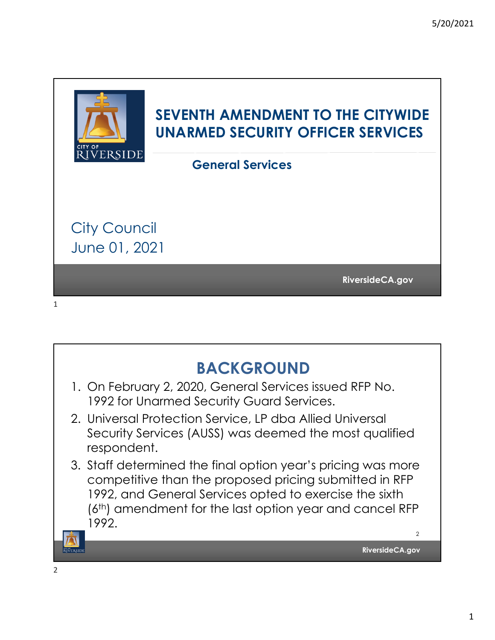

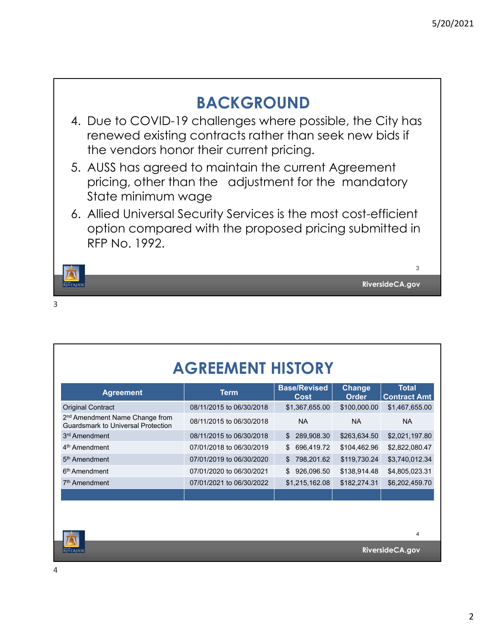

| <b>AGREEMENT HISTORY</b>                                                                |                          |                                    |                        |                                     |
|-----------------------------------------------------------------------------------------|--------------------------|------------------------------------|------------------------|-------------------------------------|
| <b>Agreement</b>                                                                        | <b>Term</b>              | <b>Base/Revised</b><br><b>Cost</b> | Change<br><b>Order</b> | <b>Total</b><br><b>Contract Amt</b> |
| <b>Original Contract</b>                                                                | 08/11/2015 to 06/30/2018 | \$1,367,655.00                     | \$100,000.00           | \$1,467,655.00                      |
| 2 <sup>nd</sup> Amendment Name Change from<br><b>Guardsmark to Universal Protection</b> | 08/11/2015 to 06/30/2018 | <b>NA</b>                          | NA.                    | <b>NA</b>                           |
| 3 <sup>rd</sup> Amendment                                                               | 08/11/2015 to 06/30/2018 | 289,908.30<br>\$                   | \$263,634.50           | \$2,021,197.80                      |
| 4 <sup>th</sup> Amendment                                                               | 07/01/2018 to 06/30/2019 | \$<br>696,419.72                   | \$104,462.96           | \$2,822,080.47                      |
| 5 <sup>th</sup> Amendment                                                               | 07/01/2019 to 06/30/2020 | 798,201.62<br>\$                   | \$119,730.24           | \$3,740,012.34                      |
| 6 <sup>th</sup> Amendment                                                               | 07/01/2020 to 06/30/2021 | \$<br>926,096.50                   | \$138,914.48           | \$4,805,023.31                      |
| 7 <sup>th</sup> Amendment                                                               | 07/01/2021 to 06/30/2022 | \$1,215,162.08                     | \$182,274.31           | \$6,202,459.70                      |
|                                                                                         |                          |                                    |                        |                                     |
|                                                                                         |                          |                                    |                        |                                     |
|                                                                                         |                          |                                    |                        |                                     |
|                                                                                         |                          |                                    |                        | 4                                   |

**RiversideCA.gov**

**ELECTRIC BUT AND REAL PROPERTY**